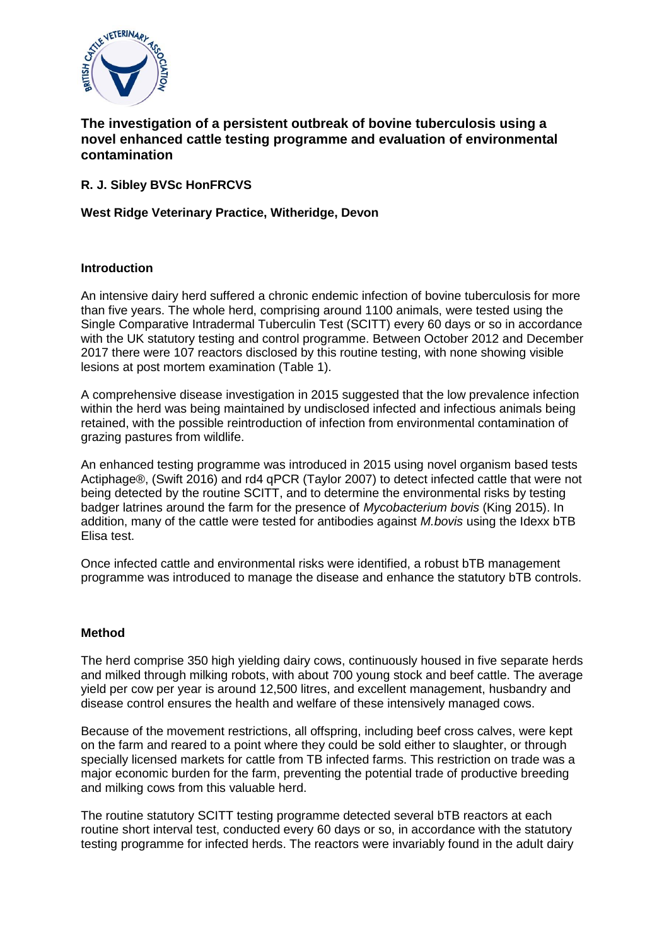

# **The investigation of a persistent outbreak of bovine tuberculosis using a novel enhanced cattle testing programme and evaluation of environmental contamination**

## **R. J. Sibley BVSc HonFRCVS**

## **West Ridge Veterinary Practice, Witheridge, Devon**

## **Introduction**

An intensive dairy herd suffered a chronic endemic infection of bovine tuberculosis for more than five years. The whole herd, comprising around 1100 animals, were tested using the Single Comparative Intradermal Tuberculin Test (SCITT) every 60 days or so in accordance with the UK statutory testing and control programme. Between October 2012 and December 2017 there were 107 reactors disclosed by this routine testing, with none showing visible lesions at post mortem examination (Table 1).

A comprehensive disease investigation in 2015 suggested that the low prevalence infection within the herd was being maintained by undisclosed infected and infectious animals being retained, with the possible reintroduction of infection from environmental contamination of grazing pastures from wildlife.

An enhanced testing programme was introduced in 2015 using novel organism based tests Actiphage®, (Swift 2016) and rd4 qPCR (Taylor 2007) to detect infected cattle that were not being detected by the routine SCITT, and to determine the environmental risks by testing badger latrines around the farm for the presence of *Mycobacterium bovis* (King 2015). In addition, many of the cattle were tested for antibodies against *M.bovis* using the Idexx bTB Elisa test.

Once infected cattle and environmental risks were identified, a robust bTB management programme was introduced to manage the disease and enhance the statutory bTB controls.

## **Method**

The herd comprise 350 high yielding dairy cows, continuously housed in five separate herds and milked through milking robots, with about 700 young stock and beef cattle. The average yield per cow per year is around 12,500 litres, and excellent management, husbandry and disease control ensures the health and welfare of these intensively managed cows.

Because of the movement restrictions, all offspring, including beef cross calves, were kept on the farm and reared to a point where they could be sold either to slaughter, or through specially licensed markets for cattle from TB infected farms. This restriction on trade was a major economic burden for the farm, preventing the potential trade of productive breeding and milking cows from this valuable herd.

The routine statutory SCITT testing programme detected several bTB reactors at each routine short interval test, conducted every 60 days or so, in accordance with the statutory testing programme for infected herds. The reactors were invariably found in the adult dairy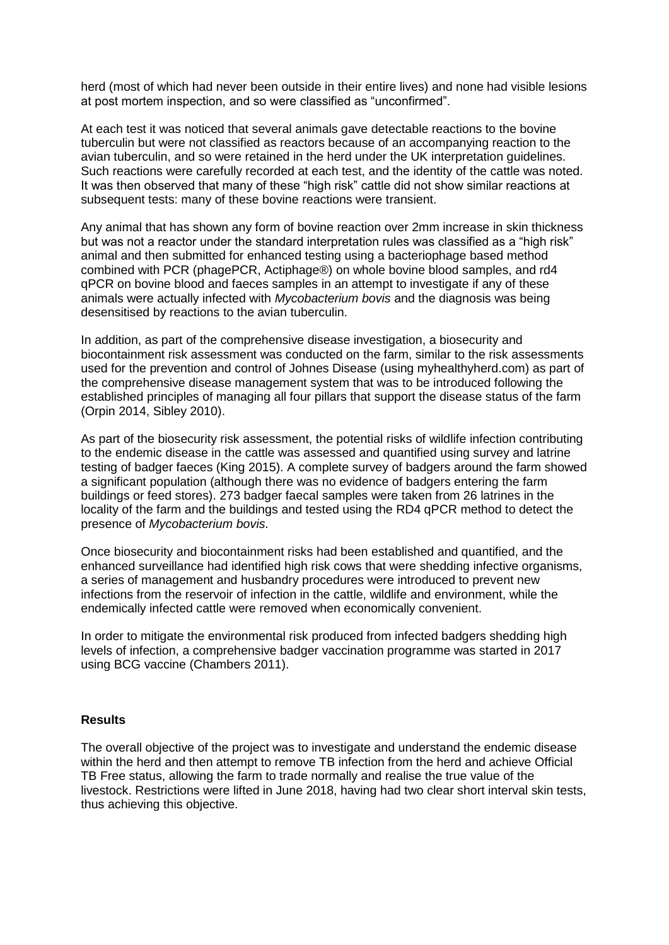herd (most of which had never been outside in their entire lives) and none had visible lesions at post mortem inspection, and so were classified as "unconfirmed".

At each test it was noticed that several animals gave detectable reactions to the bovine tuberculin but were not classified as reactors because of an accompanying reaction to the avian tuberculin, and so were retained in the herd under the UK interpretation guidelines. Such reactions were carefully recorded at each test, and the identity of the cattle was noted. It was then observed that many of these "high risk" cattle did not show similar reactions at subsequent tests: many of these bovine reactions were transient.

Any animal that has shown any form of bovine reaction over 2mm increase in skin thickness but was not a reactor under the standard interpretation rules was classified as a "high risk" animal and then submitted for enhanced testing using a bacteriophage based method combined with PCR (phagePCR, Actiphage®) on whole bovine blood samples, and rd4 qPCR on bovine blood and faeces samples in an attempt to investigate if any of these animals were actually infected with *Mycobacterium bovis* and the diagnosis was being desensitised by reactions to the avian tuberculin.

In addition, as part of the comprehensive disease investigation, a biosecurity and biocontainment risk assessment was conducted on the farm, similar to the risk assessments used for the prevention and control of Johnes Disease (using myhealthyherd.com) as part of the comprehensive disease management system that was to be introduced following the established principles of managing all four pillars that support the disease status of the farm (Orpin 2014, Sibley 2010).

As part of the biosecurity risk assessment, the potential risks of wildlife infection contributing to the endemic disease in the cattle was assessed and quantified using survey and latrine testing of badger faeces (King 2015). A complete survey of badgers around the farm showed a significant population (although there was no evidence of badgers entering the farm buildings or feed stores). 273 badger faecal samples were taken from 26 latrines in the locality of the farm and the buildings and tested using the RD4 qPCR method to detect the presence of *Mycobacterium bovis*.

Once biosecurity and biocontainment risks had been established and quantified, and the enhanced surveillance had identified high risk cows that were shedding infective organisms, a series of management and husbandry procedures were introduced to prevent new infections from the reservoir of infection in the cattle, wildlife and environment, while the endemically infected cattle were removed when economically convenient.

In order to mitigate the environmental risk produced from infected badgers shedding high levels of infection, a comprehensive badger vaccination programme was started in 2017 using BCG vaccine (Chambers 2011).

#### **Results**

The overall objective of the project was to investigate and understand the endemic disease within the herd and then attempt to remove TB infection from the herd and achieve Official TB Free status, allowing the farm to trade normally and realise the true value of the livestock. Restrictions were lifted in June 2018, having had two clear short interval skin tests, thus achieving this objective.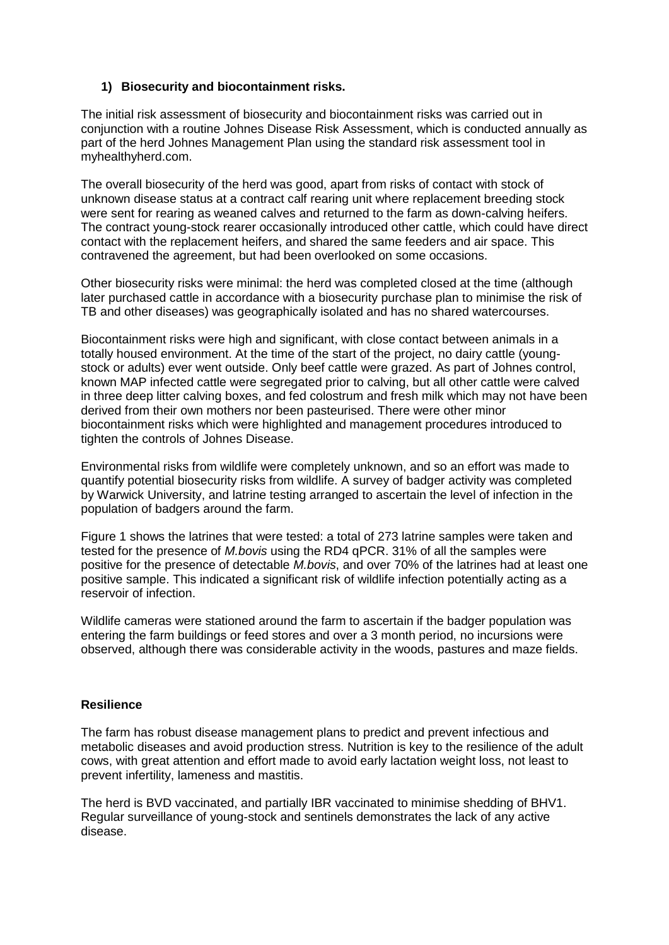## **1) Biosecurity and biocontainment risks.**

The initial risk assessment of biosecurity and biocontainment risks was carried out in conjunction with a routine Johnes Disease Risk Assessment, which is conducted annually as part of the herd Johnes Management Plan using the standard risk assessment tool in myhealthyherd.com.

The overall biosecurity of the herd was good, apart from risks of contact with stock of unknown disease status at a contract calf rearing unit where replacement breeding stock were sent for rearing as weaned calves and returned to the farm as down-calving heifers. The contract young-stock rearer occasionally introduced other cattle, which could have direct contact with the replacement heifers, and shared the same feeders and air space. This contravened the agreement, but had been overlooked on some occasions.

Other biosecurity risks were minimal: the herd was completed closed at the time (although later purchased cattle in accordance with a biosecurity purchase plan to minimise the risk of TB and other diseases) was geographically isolated and has no shared watercourses.

Biocontainment risks were high and significant, with close contact between animals in a totally housed environment. At the time of the start of the project, no dairy cattle (youngstock or adults) ever went outside. Only beef cattle were grazed. As part of Johnes control, known MAP infected cattle were segregated prior to calving, but all other cattle were calved in three deep litter calving boxes, and fed colostrum and fresh milk which may not have been derived from their own mothers nor been pasteurised. There were other minor biocontainment risks which were highlighted and management procedures introduced to tighten the controls of Johnes Disease.

Environmental risks from wildlife were completely unknown, and so an effort was made to quantify potential biosecurity risks from wildlife. A survey of badger activity was completed by Warwick University, and latrine testing arranged to ascertain the level of infection in the population of badgers around the farm.

Figure 1 shows the latrines that were tested: a total of 273 latrine samples were taken and tested for the presence of *M.bovis* using the RD4 qPCR. 31% of all the samples were positive for the presence of detectable *M.bovis*, and over 70% of the latrines had at least one positive sample. This indicated a significant risk of wildlife infection potentially acting as a reservoir of infection.

Wildlife cameras were stationed around the farm to ascertain if the badger population was entering the farm buildings or feed stores and over a 3 month period, no incursions were observed, although there was considerable activity in the woods, pastures and maze fields.

## **Resilience**

The farm has robust disease management plans to predict and prevent infectious and metabolic diseases and avoid production stress. Nutrition is key to the resilience of the adult cows, with great attention and effort made to avoid early lactation weight loss, not least to prevent infertility, lameness and mastitis.

The herd is BVD vaccinated, and partially IBR vaccinated to minimise shedding of BHV1. Regular surveillance of young-stock and sentinels demonstrates the lack of any active disease.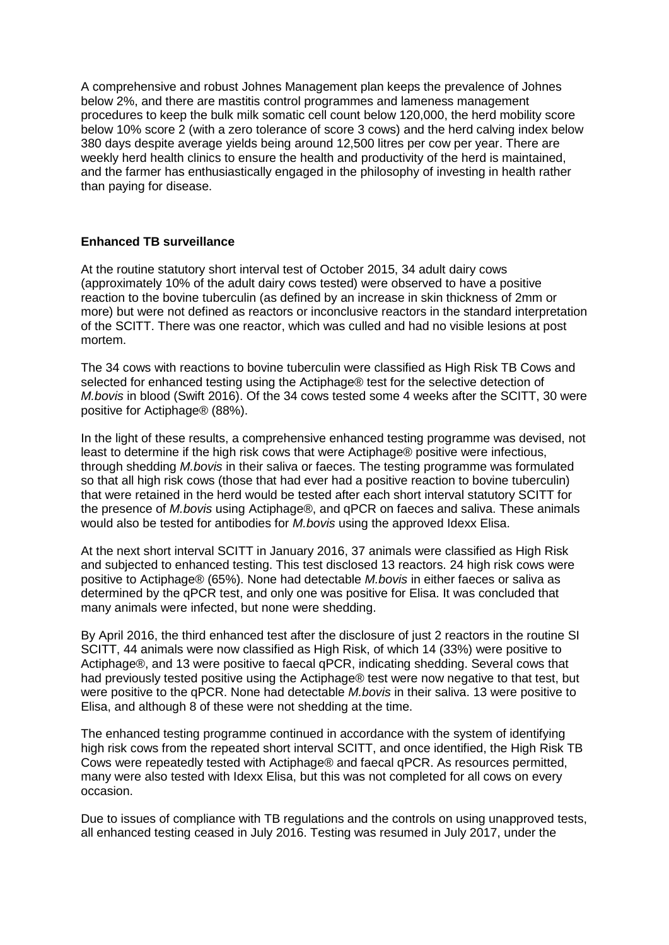A comprehensive and robust Johnes Management plan keeps the prevalence of Johnes below 2%, and there are mastitis control programmes and lameness management procedures to keep the bulk milk somatic cell count below 120,000, the herd mobility score below 10% score 2 (with a zero tolerance of score 3 cows) and the herd calving index below 380 days despite average yields being around 12,500 litres per cow per year. There are weekly herd health clinics to ensure the health and productivity of the herd is maintained, and the farmer has enthusiastically engaged in the philosophy of investing in health rather than paying for disease.

## **Enhanced TB surveillance**

At the routine statutory short interval test of October 2015, 34 adult dairy cows (approximately 10% of the adult dairy cows tested) were observed to have a positive reaction to the bovine tuberculin (as defined by an increase in skin thickness of 2mm or more) but were not defined as reactors or inconclusive reactors in the standard interpretation of the SCITT. There was one reactor, which was culled and had no visible lesions at post mortem.

The 34 cows with reactions to bovine tuberculin were classified as High Risk TB Cows and selected for enhanced testing using the Actiphage® test for the selective detection of *M.bovis* in blood (Swift 2016). Of the 34 cows tested some 4 weeks after the SCITT, 30 were positive for Actiphage® (88%).

In the light of these results, a comprehensive enhanced testing programme was devised, not least to determine if the high risk cows that were Actiphage® positive were infectious, through shedding *M.bovis* in their saliva or faeces. The testing programme was formulated so that all high risk cows (those that had ever had a positive reaction to bovine tuberculin) that were retained in the herd would be tested after each short interval statutory SCITT for the presence of *M.bovis* using Actiphage®, and qPCR on faeces and saliva. These animals would also be tested for antibodies for *M.bovis* using the approved Idexx Elisa.

At the next short interval SCITT in January 2016, 37 animals were classified as High Risk and subjected to enhanced testing. This test disclosed 13 reactors. 24 high risk cows were positive to Actiphage® (65%). None had detectable *M.bovis* in either faeces or saliva as determined by the qPCR test, and only one was positive for Elisa. It was concluded that many animals were infected, but none were shedding.

By April 2016, the third enhanced test after the disclosure of just 2 reactors in the routine SI SCITT, 44 animals were now classified as High Risk, of which 14 (33%) were positive to Actiphage®, and 13 were positive to faecal qPCR, indicating shedding. Several cows that had previously tested positive using the Actiphage® test were now negative to that test, but were positive to the qPCR. None had detectable *M.bovis* in their saliva. 13 were positive to Elisa, and although 8 of these were not shedding at the time.

The enhanced testing programme continued in accordance with the system of identifying high risk cows from the repeated short interval SCITT, and once identified, the High Risk TB Cows were repeatedly tested with Actiphage® and faecal qPCR. As resources permitted, many were also tested with Idexx Elisa, but this was not completed for all cows on every occasion.

Due to issues of compliance with TB regulations and the controls on using unapproved tests, all enhanced testing ceased in July 2016. Testing was resumed in July 2017, under the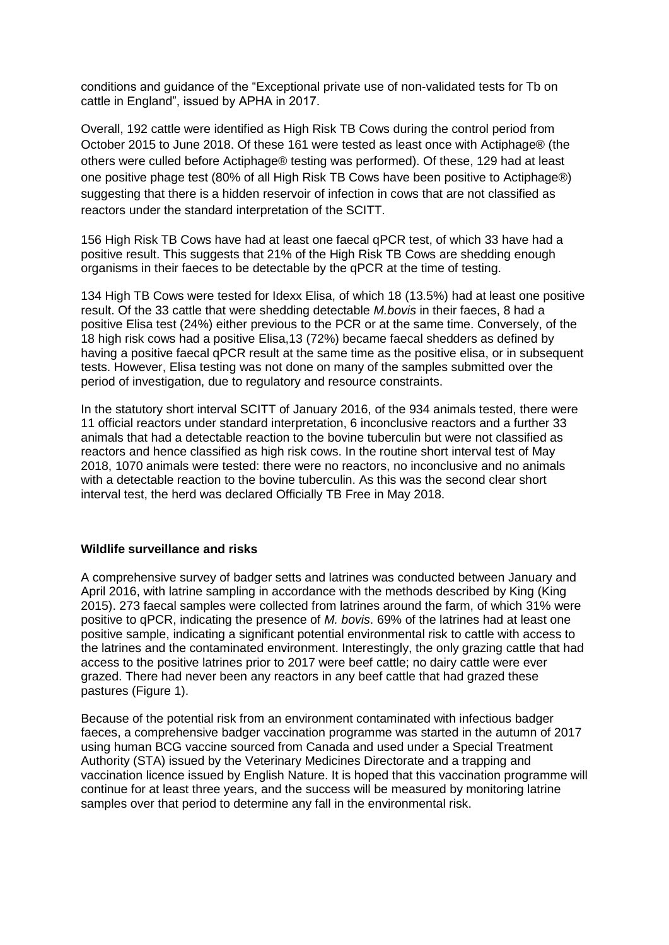conditions and guidance of the "Exceptional private use of non-validated tests for Tb on cattle in England", issued by APHA in 2017.

Overall, 192 cattle were identified as High Risk TB Cows during the control period from October 2015 to June 2018. Of these 161 were tested as least once with Actiphage® (the others were culled before Actiphage® testing was performed). Of these, 129 had at least one positive phage test (80% of all High Risk TB Cows have been positive to Actiphage®) suggesting that there is a hidden reservoir of infection in cows that are not classified as reactors under the standard interpretation of the SCITT.

156 High Risk TB Cows have had at least one faecal qPCR test, of which 33 have had a positive result. This suggests that 21% of the High Risk TB Cows are shedding enough organisms in their faeces to be detectable by the qPCR at the time of testing.

134 High TB Cows were tested for Idexx Elisa, of which 18 (13.5%) had at least one positive result. Of the 33 cattle that were shedding detectable *M.bovis* in their faeces, 8 had a positive Elisa test (24%) either previous to the PCR or at the same time. Conversely, of the 18 high risk cows had a positive Elisa,13 (72%) became faecal shedders as defined by having a positive faecal qPCR result at the same time as the positive elisa, or in subsequent tests. However, Elisa testing was not done on many of the samples submitted over the period of investigation, due to regulatory and resource constraints.

In the statutory short interval SCITT of January 2016, of the 934 animals tested, there were 11 official reactors under standard interpretation, 6 inconclusive reactors and a further 33 animals that had a detectable reaction to the bovine tuberculin but were not classified as reactors and hence classified as high risk cows. In the routine short interval test of May 2018, 1070 animals were tested: there were no reactors, no inconclusive and no animals with a detectable reaction to the bovine tuberculin. As this was the second clear short interval test, the herd was declared Officially TB Free in May 2018.

#### **Wildlife surveillance and risks**

A comprehensive survey of badger setts and latrines was conducted between January and April 2016, with latrine sampling in accordance with the methods described by King (King 2015). 273 faecal samples were collected from latrines around the farm, of which 31% were positive to qPCR, indicating the presence of *M. bovis*. 69% of the latrines had at least one positive sample, indicating a significant potential environmental risk to cattle with access to the latrines and the contaminated environment. Interestingly, the only grazing cattle that had access to the positive latrines prior to 2017 were beef cattle; no dairy cattle were ever grazed. There had never been any reactors in any beef cattle that had grazed these pastures (Figure 1).

Because of the potential risk from an environment contaminated with infectious badger faeces, a comprehensive badger vaccination programme was started in the autumn of 2017 using human BCG vaccine sourced from Canada and used under a Special Treatment Authority (STA) issued by the Veterinary Medicines Directorate and a trapping and vaccination licence issued by English Nature. It is hoped that this vaccination programme will continue for at least three years, and the success will be measured by monitoring latrine samples over that period to determine any fall in the environmental risk.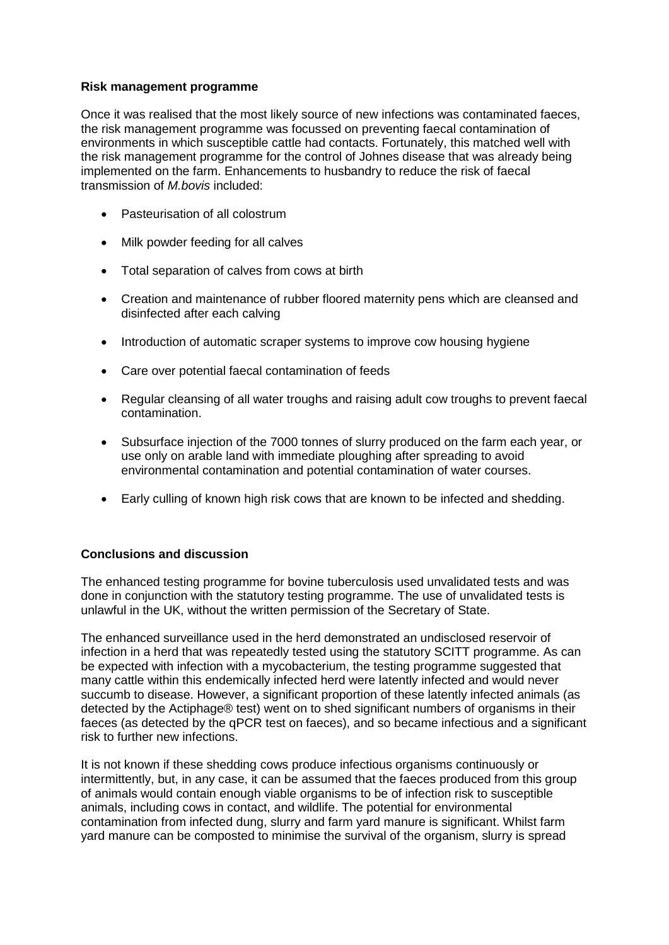#### **Risk management programme**

Once it was realised that the most likely source of new infections was contaminated faeces, the risk management programme was focussed on preventing faecal contamination of environments in which susceptible cattle had contacts. Fortunately, this matched well with the risk management programme for the control of Johnes disease that was already being implemented on the farm. Enhancements to husbandry to reduce the risk of faecal transmission of *M.bovis* included:

- Pasteurisation of all colostrum
- Milk powder feeding for all calves
- Total separation of calves from cows at birth
- Creation and maintenance of rubber floored maternity pens which are cleansed and disinfected after each calving
- Introduction of automatic scraper systems to improve cow housing hygiene
- Care over potential faecal contamination of feeds
- Regular cleansing of all water troughs and raising adult cow troughs to prevent faecal contamination.
- Subsurface injection of the 7000 tonnes of slurry produced on the farm each year, or use only on arable land with immediate ploughing after spreading to avoid environmental contamination and potential contamination of water courses.
- Early culling of known high risk cows that are known to be infected and shedding.

## **Conclusions and discussion**

The enhanced testing programme for bovine tuberculosis used unvalidated tests and was done in conjunction with the statutory testing programme. The use of unvalidated tests is unlawful in the UK, without the written permission of the Secretary of State.

The enhanced surveillance used in the herd demonstrated an undisclosed reservoir of infection in a herd that was repeatedly tested using the statutory SCITT programme. As can be expected with infection with a mycobacterium, the testing programme suggested that many cattle within this endemically infected herd were latently infected and would never succumb to disease. However, a significant proportion of these latently infected animals (as detected by the Actiphage® test) went on to shed significant numbers of organisms in their faeces (as detected by the qPCR test on faeces), and so became infectious and a significant risk to further new infections.

It is not known if these shedding cows produce infectious organisms continuously or intermittently, but, in any case, it can be assumed that the faeces produced from this group of animals would contain enough viable organisms to be of infection risk to susceptible animals, including cows in contact, and wildlife. The potential for environmental contamination from infected dung, slurry and farm yard manure is significant. Whilst farm yard manure can be composted to minimise the survival of the organism, slurry is spread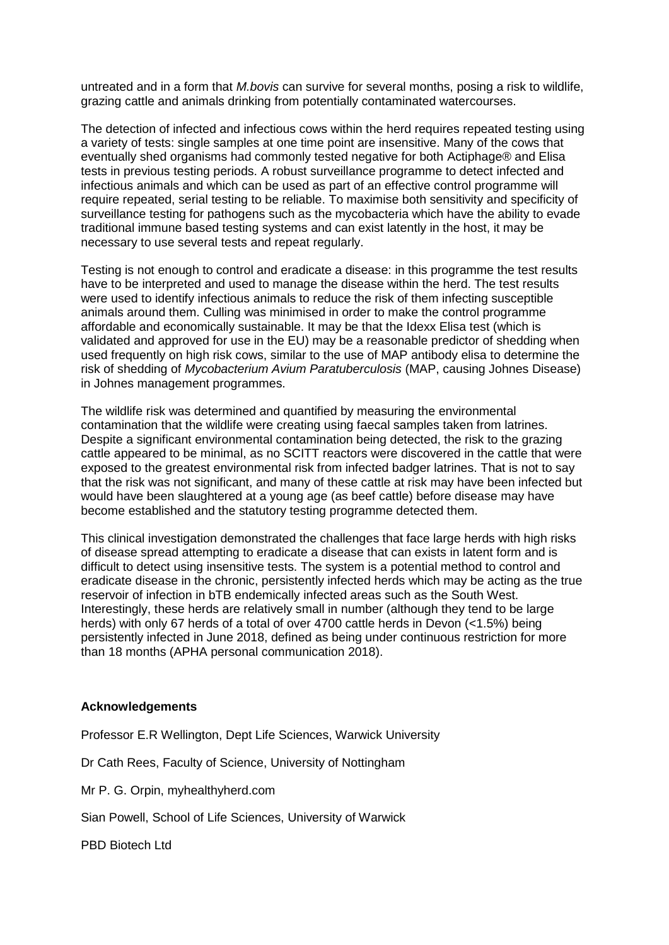untreated and in a form that *M.bovis* can survive for several months, posing a risk to wildlife, grazing cattle and animals drinking from potentially contaminated watercourses.

The detection of infected and infectious cows within the herd requires repeated testing using a variety of tests: single samples at one time point are insensitive. Many of the cows that eventually shed organisms had commonly tested negative for both Actiphage® and Elisa tests in previous testing periods. A robust surveillance programme to detect infected and infectious animals and which can be used as part of an effective control programme will require repeated, serial testing to be reliable. To maximise both sensitivity and specificity of surveillance testing for pathogens such as the mycobacteria which have the ability to evade traditional immune based testing systems and can exist latently in the host, it may be necessary to use several tests and repeat regularly.

Testing is not enough to control and eradicate a disease: in this programme the test results have to be interpreted and used to manage the disease within the herd. The test results were used to identify infectious animals to reduce the risk of them infecting susceptible animals around them. Culling was minimised in order to make the control programme affordable and economically sustainable. It may be that the Idexx Elisa test (which is validated and approved for use in the EU) may be a reasonable predictor of shedding when used frequently on high risk cows, similar to the use of MAP antibody elisa to determine the risk of shedding of *Mycobacterium Avium Paratuberculosis* (MAP, causing Johnes Disease) in Johnes management programmes.

The wildlife risk was determined and quantified by measuring the environmental contamination that the wildlife were creating using faecal samples taken from latrines. Despite a significant environmental contamination being detected, the risk to the grazing cattle appeared to be minimal, as no SCITT reactors were discovered in the cattle that were exposed to the greatest environmental risk from infected badger latrines. That is not to say that the risk was not significant, and many of these cattle at risk may have been infected but would have been slaughtered at a young age (as beef cattle) before disease may have become established and the statutory testing programme detected them.

This clinical investigation demonstrated the challenges that face large herds with high risks of disease spread attempting to eradicate a disease that can exists in latent form and is difficult to detect using insensitive tests. The system is a potential method to control and eradicate disease in the chronic, persistently infected herds which may be acting as the true reservoir of infection in bTB endemically infected areas such as the South West. Interestingly, these herds are relatively small in number (although they tend to be large herds) with only 67 herds of a total of over 4700 cattle herds in Devon (<1.5%) being persistently infected in June 2018, defined as being under continuous restriction for more than 18 months (APHA personal communication 2018).

#### **Acknowledgements**

Professor E.R Wellington, Dept Life Sciences, Warwick University

Dr Cath Rees, Faculty of Science, University of Nottingham

Mr P. G. Orpin, myhealthyherd.com

Sian Powell, School of Life Sciences, University of Warwick

PBD Biotech Ltd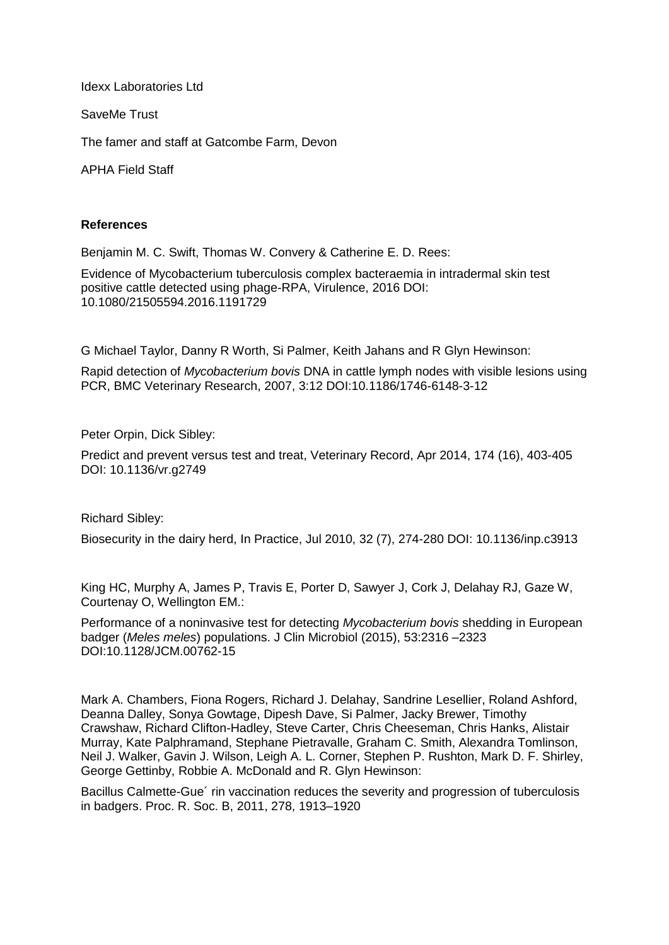Idexx Laboratories Ltd

SaveMe Trust

The famer and staff at Gatcombe Farm, Devon

APHA Field Staff

#### **References**

Benjamin M. C. Swift, Thomas W. Convery & Catherine E. D. Rees:

Evidence of Mycobacterium tuberculosis complex bacteraemia in intradermal skin test positive cattle detected using phage-RPA, Virulence, 2016 DOI: 10.1080/21505594.2016.1191729

G Michael Taylor, Danny R Worth, Si Palmer, Keith Jahans and R Glyn Hewinson:

Rapid detection of *Mycobacterium bovis* DNA in cattle lymph nodes with visible lesions using PCR, BMC Veterinary Research, 2007, 3:12 DOI:10.1186/1746-6148-3-12

Peter Orpin, Dick Sibley:

Predict and prevent versus test and treat, Veterinary Record, Apr 2014, 174 (16), 403-405 DOI: 10.1136/vr.g2749

Richard Sibley:

Biosecurity in the dairy herd, In Practice, Jul 2010, 32 (7), 274-280 DOI: 10.1136/inp.c3913

King HC, Murphy A, James P, Travis E, Porter D, Sawyer J, Cork J, Delahay RJ, Gaze W, Courtenay O, Wellington EM.:

Performance of a noninvasive test for detecting *Mycobacterium bovis* shedding in European badger (*Meles meles*) populations. J Clin Microbiol (2015), 53:2316 –2323 DOI:10.1128/JCM.00762-15

Mark A. Chambers, Fiona Rogers, Richard J. Delahay, Sandrine Lesellier, Roland Ashford, Deanna Dalley, Sonya Gowtage, Dipesh Dave, Si Palmer, Jacky Brewer, Timothy Crawshaw, Richard Clifton-Hadley, Steve Carter, Chris Cheeseman, Chris Hanks, Alistair Murray, Kate Palphramand, Stephane Pietravalle, Graham C. Smith, Alexandra Tomlinson, Neil J. Walker, Gavin J. Wilson, Leigh A. L. Corner, Stephen P. Rushton, Mark D. F. Shirley, George Gettinby, Robbie A. McDonald and R. Glyn Hewinson:

Bacillus Calmette-Gue´ rin vaccination reduces the severity and progression of tuberculosis in badgers. Proc. R. Soc. B, 2011, 278, 1913–1920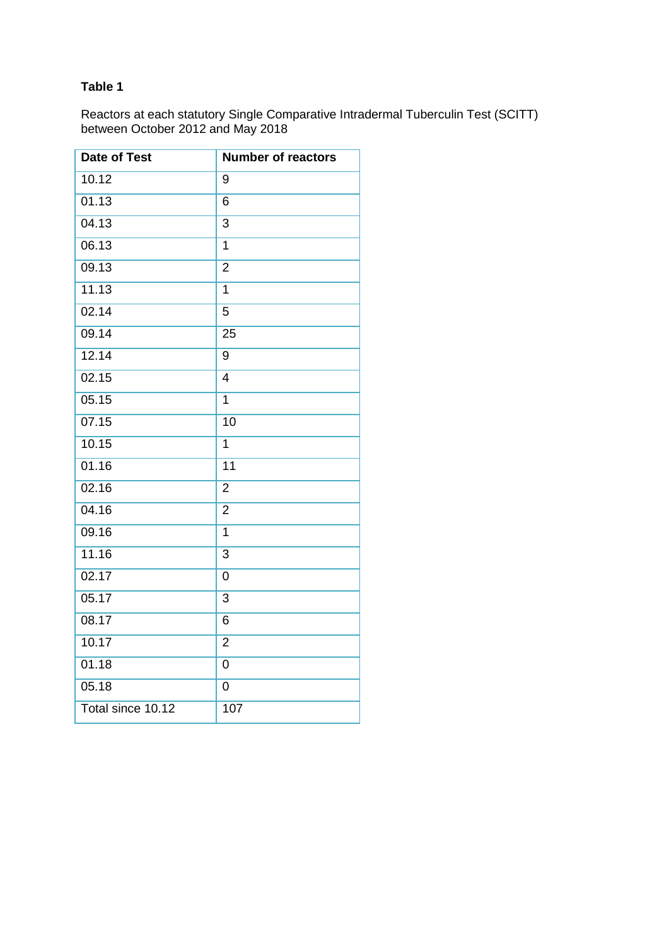# **Table 1**

Reactors at each statutory Single Comparative Intradermal Tuberculin Test (SCITT) between October 2012 and May 2018

| Date of Test      | <b>Number of reactors</b> |
|-------------------|---------------------------|
| 10.12             | 9                         |
| 01.13             | 6                         |
| 04.13             | 3                         |
| 06.13             | $\overline{1}$            |
| 09.13             | $\overline{2}$            |
| 11.13             | $\overline{1}$            |
| 02.14             | 5                         |
| 09.14             | 25                        |
| 12.14             | 9                         |
| 02.15             | $\overline{4}$            |
| 05.15             | 1                         |
| 07.15             | 10                        |
| 10.15             | 1                         |
| 01.16             | 11                        |
| 02.16             | $\overline{2}$            |
| 04.16             | $\overline{2}$            |
| 09.16             | 1                         |
| 11.16             | 3                         |
| 02.17             | 0                         |
| 05.17             | 3                         |
| 08.17             | 6                         |
| 10.17             | $\overline{2}$            |
| 01.18             | 0                         |
| 05.18             | 0                         |
| Total since 10.12 | 107                       |